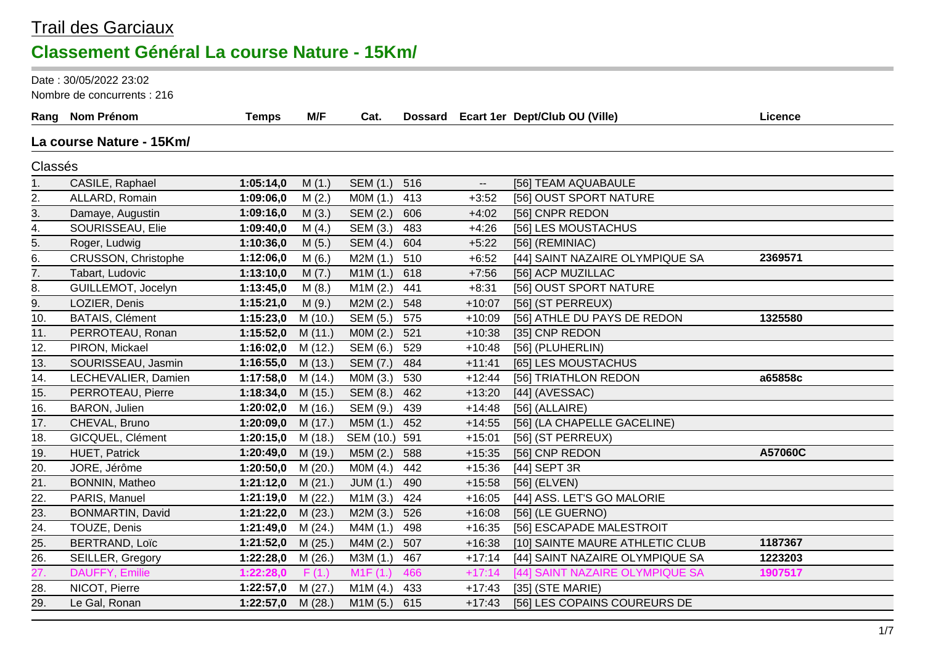#### Trail des Garciaux **Classement Général La course Nature - 15Km/**

Date : 30/05/2022 23:02

Nombre de concurrents : 216

|                   | Rang Nom Prénom          | <b>Temps</b> | M/F     | Cat.      |     |                          | Dossard Ecart 1er Dept/Club OU (Ville) | Licence |
|-------------------|--------------------------|--------------|---------|-----------|-----|--------------------------|----------------------------------------|---------|
|                   | La course Nature - 15Km/ |              |         |           |     |                          |                                        |         |
| Classés           |                          |              |         |           |     |                          |                                        |         |
| 1.                | CASILE, Raphael          | 1:05:14,0    | M(1.)   | SEM (1.)  | 516 | $\overline{\phantom{a}}$ | [56] TEAM AQUABAULE                    |         |
| 2.                | ALLARD, Romain           | 1:09:06,0    | M(2.)   | M0M (1.)  | 413 | $+3:52$                  | [56] OUST SPORT NATURE                 |         |
| 3.                | Damaye, Augustin         | 1:09:16,0    | M(3.)   | SEM (2.)  | 606 | $+4:02$                  | [56] CNPR REDON                        |         |
| 4.                | SOURISSEAU, Elie         | 1:09:40,0    | M(4.)   | SEM (3.)  | 483 | $+4:26$                  | [56] LES MOUSTACHUS                    |         |
| $\overline{5}$ .  | Roger, Ludwig            | 1:10:36,0    | M(5.)   | SEM (4.)  | 604 | $+5:22$                  | [56] (REMINIAC)                        |         |
| 6.                | CRUSSON, Christophe      | 1:12:06,0    | M(6.)   | M2M(1.)   | 510 | $+6:52$                  | [44] SAINT NAZAIRE OLYMPIQUE SA        | 2369571 |
| 7.                | Tabart, Ludovic          | 1:13:10,0    | M(7.)   | M1M(1.)   | 618 | $+7:56$                  | [56] ACP MUZILLAC                      |         |
| 8.                | GUILLEMOT, Jocelyn       | 1:13:45,0    | M(8.)   | M1M(2.)   | 441 | $+8:31$                  | [56] OUST SPORT NATURE                 |         |
| 9.                | LOZIER, Denis            | 1:15:21,0    | M(9.)   | M2M(2.)   | 548 | $+10:07$                 | [56] (ST PERREUX)                      |         |
| 10.               | <b>BATAIS, Clément</b>   | 1:15:23,0    | M (10.) | SEM (5.)  | 575 | $+10:09$                 | [56] ATHLE DU PAYS DE REDON            | 1325580 |
| 11.               | PERROTEAU, Ronan         | 1:15:52,0    | M(11.)  | MOM(2.)   | 521 | $+10:38$                 | [35] CNP REDON                         |         |
| 12.               | PIRON, Mickael           | 1:16:02,0    | M (12.) | SEM (6.)  | 529 | $+10:48$                 | [56] (PLUHERLIN)                       |         |
| 13.               | SOURISSEAU, Jasmin       | 1:16:55,0    | M(13.)  | SEM (7.)  | 484 | $+11:41$                 | [65] LES MOUSTACHUS                    |         |
| 14.               | LECHEVALIER, Damien      | 1:17:58,0    | M(14.)  | MOM(3.)   | 530 | $+12:44$                 | [56] TRIATHLON REDON                   | a65858c |
| 15.               | PERROTEAU, Pierre        | 1:18:34,0    | M (15.) | SEM (8.)  | 462 | $+13:20$                 | [44] (AVESSAC)                         |         |
| 16.               | BARON, Julien            | 1:20:02,0    | M (16.) | SEM (9.)  | 439 | $+14:48$                 | $[56]$ (ALLAIRE)                       |         |
| 17.               | CHEVAL, Bruno            | 1:20:09,0    | M(17.)  | M5M (1.)  | 452 | $+14:55$                 | [56] (LA CHAPELLE GACELINE)            |         |
| 18.               | GICQUEL, Clément         | 1:20:15,0    | M (18.) | SEM (10.) | 591 | $+15:01$                 | [56] (ST PERREUX)                      |         |
| 19.               | HUET, Patrick            | 1:20:49,0    | M (19.) | M5M (2.)  | 588 | $+15:35$                 | [56] CNP REDON                         | A57060C |
| 20.               | JORE, Jérôme             | 1:20:50,0    | M(20.)  | MOM(4.)   | 442 | $+15:36$                 | [44] SEPT 3R                           |         |
| 21.               | BONNIN, Matheo           | 1:21:12,0    | M(21.)  | JUM(1.)   | 490 | $+15:58$                 | [56] (ELVEN)                           |         |
| 22.               | PARIS, Manuel            | 1:21:19,0    | M(22.)  | M1M(3.)   | 424 | $+16:05$                 | [44] ASS. LET'S GO MALORIE             |         |
| 23.               | <b>BONMARTIN, David</b>  | 1:21:22,0    | M(23.)  | M2M(3.)   | 526 | $+16:08$                 | [56] (LE GUERNO)                       |         |
| 24.               | TOUZE, Denis             | 1:21:49,0    | M(24.)  | M4M (1.)  | 498 | $+16:35$                 | [56] ESCAPADE MALESTROIT               |         |
| 25.               | <b>BERTRAND, Loïc</b>    | 1:21:52,0    | M(25.)  | M4M(2.)   | 507 | $+16:38$                 | [10] SAINTE MAURE ATHLETIC CLUB        | 1187367 |
| 26.               | SEILLER, Gregory         | 1:22:28,0    | M(26.)  | M3M (1.)  | 467 | $+17:14$                 | [44] SAINT NAZAIRE OLYMPIQUE SA        | 1223203 |
| $\overline{27}$ . | DAUFFY, Emilie           | 1:22:28,0    | F(1.)   | M1F(1)    | 466 | $+17:14$                 | [44] SAINT NAZAIRE OLYMPIQUE SA        | 1907517 |
| 28.               | NICOT, Pierre            | 1:22:57,0    | M(27.)  | M1M(4.)   | 433 | $+17:43$                 | $[35]$ (STE MARIE)                     |         |
| 29.               | Le Gal, Ronan            | 1:22:57,0    | M(28.)  | M1M(5.)   | 615 | $+17:43$                 | [56] LES COPAINS COUREURS DE           |         |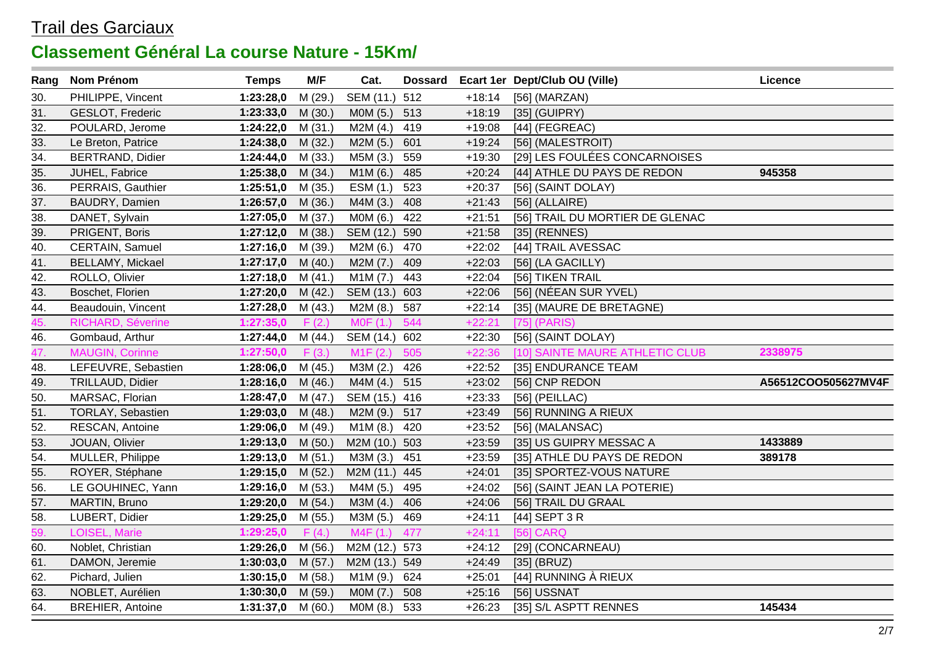| Rang              | <b>Nom Prénom</b>       | <b>Temps</b>       | M/F     | Cat.          |     |          | Dossard Ecart 1er Dept/Club OU (Ville) | Licence             |
|-------------------|-------------------------|--------------------|---------|---------------|-----|----------|----------------------------------------|---------------------|
| 30.               | PHILIPPE, Vincent       | 1:23:28,0          | M (29.) | SEM (11.)     | 512 | $+18:14$ | $[56]$ (MARZAN)                        |                     |
| 31.               | GESLOT, Frederic        | 1:23:33,0          | M(30.)  | MOM (5.)      | 513 | $+18:19$ | $[35]$ (GUIPRY)                        |                     |
| 32.               | POULARD, Jerome         | 1:24:22,0          | M(31.)  | M2M(4.)       | 419 | $+19:08$ | $[44]$ (FEGREAC)                       |                     |
| 33.               | Le Breton, Patrice      | 1:24:38,0          | M(32.)  | M2M (5.)      | 601 | $+19:24$ | [56] (MALESTROIT)                      |                     |
| $\overline{34}$ . | <b>BERTRAND, Didier</b> | 1:24:44,0          | M (33.) | M5M (3.)      | 559 | $+19:30$ | [29] LES FOULÉES CONCARNOISES          |                     |
| 35.               | JUHEL, Fabrice          | 1:25:38,0          | M(34.)  | M1M (6.)      | 485 | $+20:24$ | [44] ATHLE DU PAYS DE REDON            | 945358              |
| 36.               | PERRAIS, Gauthier       | 1:25:51,0          | M (35.) | ESM (1.)      | 523 | $+20:37$ | [56] (SAINT DOLAY)                     |                     |
| 37.               | BAUDRY, Damien          | 1:26:57,0          | M(36.)  | M4M (3.)      | 408 | $+21:43$ | $[56]$ (ALLAIRE)                       |                     |
| 38.               | DANET, Sylvain          | 1:27:05,0          | M (37.) | M0M (6.)      | 422 | $+21:51$ | [56] TRAIL DU MORTIER DE GLENAC        |                     |
| 39.               | PRIGENT, Boris          | 1:27:12,0          | M (38.) | SEM (12.)     | 590 | $+21:58$ | $[35]$ (RENNES)                        |                     |
| 40.               | CERTAIN, Samuel         | 1:27:16,0          | M (39.) | M2M (6.)      | 470 | $+22:02$ | [44] TRAIL AVESSAC                     |                     |
| 41.               | <b>BELLAMY, Mickael</b> | 1:27:17,0          | M(40.)  | M2M (7.)      | 409 | $+22:03$ | [56] (LA GACILLY)                      |                     |
| 42.               | ROLLO, Olivier          | 1:27:18,0          | M(41.)  | M1M (7.)      | 443 | $+22:04$ | [56] TIKEN TRAIL                       |                     |
| 43.               | Boschet, Florien        | 1:27:20,0          | M(42.)  | SEM (13.) 603 |     | $+22:06$ | [56] (NÉEAN SUR YVEL)                  |                     |
| 44.               | Beaudouin, Vincent      | 1:27:28,0          | M (43.) | M2M (8.)      | 587 | $+22:14$ | [35] (MAURE DE BRETAGNE)               |                     |
| 45.               | RICHARD, Séverine       | 1:27:35,0          | F(2.)   | M0F (1.)      | 544 | $+22:21$ | $[75]$ (PARIS)                         |                     |
| 46.               | Gombaud, Arthur         | 1:27:44,0          | M (44.) | SEM (14.) 602 |     | $+22:30$ | [56] (SAINT DOLAY)                     |                     |
| 47.               | <b>MAUGIN, Corinne</b>  | 1:27:50,0          | F(3.)   | M1F(2.)       | 505 | $+22:36$ | [10] SAINTE MAURE ATHLETIC CLUB        | 2338975             |
| 48.               | LEFEUVRE, Sebastien     | 1:28:06,0          | M(45.)  | M3M (2.)      | 426 | $+22:52$ | [35] ENDURANCE TEAM                    |                     |
| 49.               | TRILLAUD, Didier        | 1:28:16,0          | M (46.) | M4M (4.)      | 515 | $+23:02$ | [56] CNP REDON                         | A56512COO505627MV4F |
| 50.               | MARSAC, Florian         | 1:28:47,0          | M(47.)  | SEM (15.) 416 |     | $+23:33$ | $[56]$ (PEILLAC)                       |                     |
| 51.               | TORLAY, Sebastien       | 1:29:03,0          | M(48.)  | M2M (9.)      | 517 | $+23:49$ | [56] RUNNING A RIEUX                   |                     |
| 52.               | RESCAN, Antoine         | 1:29:06,0          | M (49.) | M1M(8.)       | 420 | $+23:52$ | [56] (MALANSAC)                        |                     |
| 53.               | JOUAN, Olivier          | 1:29:13,0          | M(50.)  | M2M (10.)     | 503 | $+23:59$ | [35] US GUIPRY MESSAC A                | 1433889             |
| 54.               | MULLER, Philippe        | 1:29:13,0          | M(51.)  | M3M (3.)      | 451 | $+23:59$ | [35] ATHLE DU PAYS DE REDON            | 389178              |
| 55.               | ROYER, Stéphane         | 1:29:15,0          | M(52.)  | M2M (11.) 445 |     | $+24:01$ | [35] SPORTEZ-VOUS NATURE               |                     |
| 56.               | LE GOUHINEC, Yann       | 1:29:16,0          | M (53.) | M4M (5.)      | 495 | $+24:02$ | [56] (SAINT JEAN LA POTERIE)           |                     |
| 57.               | MARTIN, Bruno           | 1:29:20,0          | M (54.) | M3M (4.)      | 406 | $+24:06$ | [56] TRAIL DU GRAAL                    |                     |
| 58.               | LUBERT, Didier          | 1:29:25,0          | M (55.) | M3M (5.)      | 469 | $+24:11$ | [44] SEPT 3 R                          |                     |
| 59.               | LOISEL, Marie           | 1:29:25,0          | F(4.)   | M4F(1.)       | 477 | $+24:11$ | <b>[56] CARQ</b>                       |                     |
| 60.               | Noblet, Christian       | 1:29:26,0          | M (56.) | M2M (12.) 573 |     | $+24:12$ | [29] (CONCARNEAU)                      |                     |
| 61.               | DAMON, Jeremie          | 1:30:03,0          | M(57.)  | M2M (13.) 549 |     | $+24:49$ | $[35]$ (BRUZ)                          |                     |
| 62.               | Pichard, Julien         | 1:30:15,0          | M (58.) | M1M (9.)      | 624 | $+25:01$ | [44] RUNNING À RIEUX                   |                     |
| 63.               | NOBLET, Aurélien        | 1:30:30,0          | M (59.) | MOM (7.)      | 508 | $+25:16$ | [56] USSNAT                            |                     |
| 64.               | <b>BREHIER, Antoine</b> | 1:31:37,0 $M(60.)$ |         | M0M (8.)      | 533 | $+26:23$ | [35] S/L ASPTT RENNES                  | 145434              |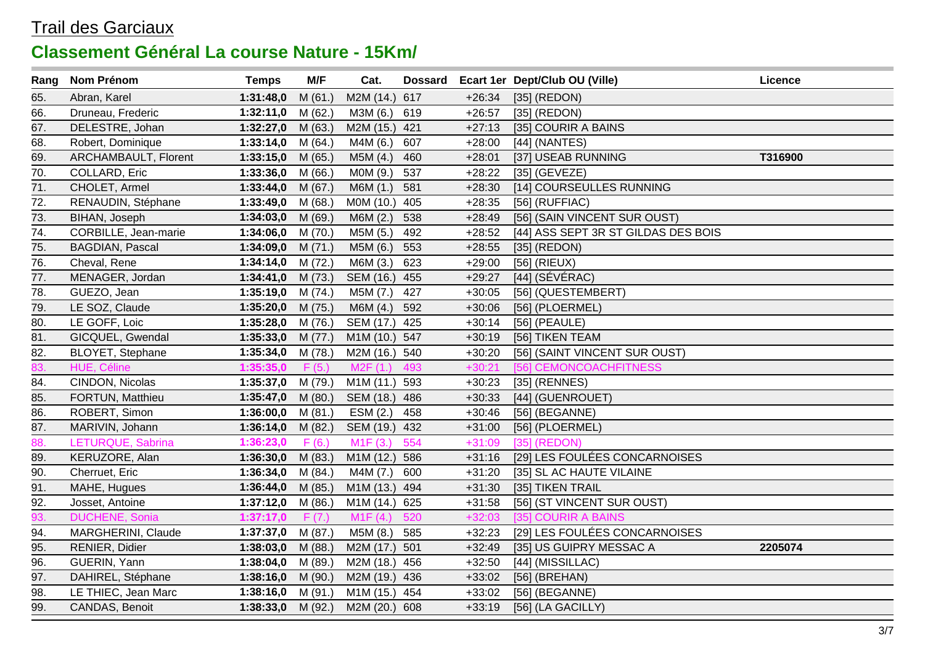| Rang | Nom Prénom             | <b>Temps</b>        | M/F     | Cat.          |     |          | Dossard Ecart 1er Dept/Club OU (Ville) | Licence |
|------|------------------------|---------------------|---------|---------------|-----|----------|----------------------------------------|---------|
| 65.  | Abran, Karel           | 1:31:48,0           | M(61.)  | M2M (14.)     | 617 | $+26:34$ | $[35]$ (REDON)                         |         |
| 66.  | Druneau, Frederic      | 1:32:11,0           | M(62.)  | M3M (6.)      | 619 | $+26:57$ | $[35]$ (REDON)                         |         |
| 67.  | DELESTRE, Johan        | 1:32:27,0           | M(63.)  | M2M (15.) 421 |     | $+27:13$ | [35] COURIR A BAINS                    |         |
| 68.  | Robert, Dominique      | 1:33:14,0           | M(64.)  | M4M (6.)      | 607 | $+28:00$ | [44] (NANTES)                          |         |
| 69.  | ARCHAMBAULT, Florent   | 1:33:15,0           | M(65.)  | M5M (4.)      | 460 | $+28:01$ | [37] USEAB RUNNING                     | T316900 |
| 70.  | COLLARD, Eric          | 1:33:36,0           | M(66.)  | MOM (9.)      | 537 | $+28:22$ | $[35]$ (GEVEZE)                        |         |
| 71.  | CHOLET, Armel          | 1:33:44,0           | M(67.)  | M6M (1.)      | 581 | $+28:30$ | [14] COURSEULLES RUNNING               |         |
| 72.  | RENAUDIN, Stéphane     | 1:33:49,0           | M (68.) | MOM (10.) 405 |     | $+28:35$ | $[56]$ (RUFFIAC)                       |         |
| 73.  | BIHAN, Joseph          | 1:34:03,0           | M (69.) | M6M(2.)       | 538 | $+28:49$ | [56] (SAIN VINCENT SUR OUST)           |         |
| 74.  | CORBILLE, Jean-marie   | 1:34:06,0           | M (70.) | M5M (5.)      | 492 | $+28:52$ | [44] ASS SEPT 3R ST GILDAS DES BOIS    |         |
| 75.  | <b>BAGDIAN, Pascal</b> | 1:34:09,0           | M(71.)  | M5M (6.)      | 553 | $+28:55$ | [35] (REDON)                           |         |
| 76.  | Cheval, Rene           | 1:34:14,0           | M (72.) | M6M (3.)      | 623 | $+29:00$ | $[56]$ (RIEUX)                         |         |
| 77.  | MENAGER, Jordan        | 1:34:41,0           | M (73.) | SEM (16.) 455 |     | $+29:27$ | $[44]$ (SÉVÉRAC)                       |         |
| 78.  | GUEZO, Jean            | 1:35:19,0           | M (74.) | M5M (7.)      | 427 | $+30:05$ | [56] (QUESTEMBERT)                     |         |
| 79.  | LE SOZ, Claude         | 1:35:20,0           | M (75.) | M6M (4.)      | 592 | $+30:06$ | [56] (PLOERMEL)                        |         |
| 80.  | LE GOFF, Loic          | 1:35:28,0           | M (76.) | SEM (17.) 425 |     | $+30:14$ | $[56]$ (PEAULE)                        |         |
| 81.  | GICQUEL, Gwendal       | 1:35:33,0           | M (77.) | M1M (10.) 547 |     | $+30:19$ | [56] TIKEN TEAM                        |         |
| 82.  | BLOYET, Stephane       | 1:35:34,0           | M (78.) | M2M (16.) 540 |     | $+30:20$ | [56] (SAINT VINCENT SUR OUST)          |         |
| 83.  | HUE, Céline            | 1:35:35,0           | F(5.)   | M2F(1.)       | 493 | $+30:21$ | [56] CEMONCOACHFITNESS                 |         |
| 84.  | CINDON, Nicolas        | 1:35:37,0           | M (79.) | M1M (11.) 593 |     | $+30:23$ | [35] (RENNES)                          |         |
| 85.  | FORTUN, Matthieu       | 1:35:47,0           | M(80.)  | SEM (18.) 486 |     | $+30:33$ | [44] (GUENROUET)                       |         |
| 86.  | ROBERT, Simon          | 1:36:00,0           | M(81.)  | ESM (2.)      | 458 | $+30:46$ | [56] (BEGANNE)                         |         |
| 87.  | MARIVIN, Johann        | 1:36:14,0           | M(82.)  | SEM (19.) 432 |     | $+31:00$ | [56] (PLOERMEL)                        |         |
| 88.  | LETURQUE, Sabrina      | 1:36:23,0           | F(6.)   | M1F(3.)       | 554 | $+31:09$ | $[35]$ (REDON)                         |         |
| 89.  | KERUZORE, Alan         | 1:36:30,0           | M(83.)  | M1M (12.) 586 |     | $+31:16$ | [29] LES FOULÉES CONCARNOISES          |         |
| 90.  | Cherruet, Eric         | 1:36:34,0           | M (84.) | M4M (7.)      | 600 | $+31:20$ | [35] SL AC HAUTE VILAINE               |         |
| 91.  | MAHE, Hugues           | 1:36:44,0           | M(85.)  | M1M (13.) 494 |     | $+31:30$ | [35] TIKEN TRAIL                       |         |
| 92.  | Josset, Antoine        | 1:37:12,0           | M (86.) | M1M (14.) 625 |     | $+31:58$ | [56] (ST VINCENT SUR OUST)             |         |
| 93.  | <b>DUCHENE, Sonia</b>  | 1:37:17,0           | F(7.)   | M1F(4.)       | 520 | $+32:03$ | [35] COURIR A BAINS                    |         |
| 94.  | MARGHERINI, Claude     | 1:37:37,0           | M (87.) | M5M (8.)      | 585 | $+32:23$ | [29] LES FOULÉES CONCARNOISES          |         |
| 95.  | RENIER, Didier         | 1:38:03,0           | M (88.) | M2M (17.) 501 |     | $+32:49$ | [35] US GUIPRY MESSAC A                | 2205074 |
| 96.  | GUERIN, Yann           | 1:38:04,0           | M (89.) | M2M (18.) 456 |     | $+32:50$ | [44] (MISSILLAC)                       |         |
| 97.  | DAHIREL, Stéphane      | 1:38:16,0           | M (90.) | M2M (19.) 436 |     | $+33:02$ | $[56]$ (BREHAN)                        |         |
| 98.  | LE THIEC, Jean Marc    | 1:38:16,0           | M (91.) | M1M (15.)     | 454 | $+33:02$ | [56] (BEGANNE)                         |         |
| 99.  | CANDAS, Benoit         | 1:38:33,0 $M (92.)$ |         | M2M (20.) 608 |     | $+33:19$ | [56] (LA GACILLY)                      |         |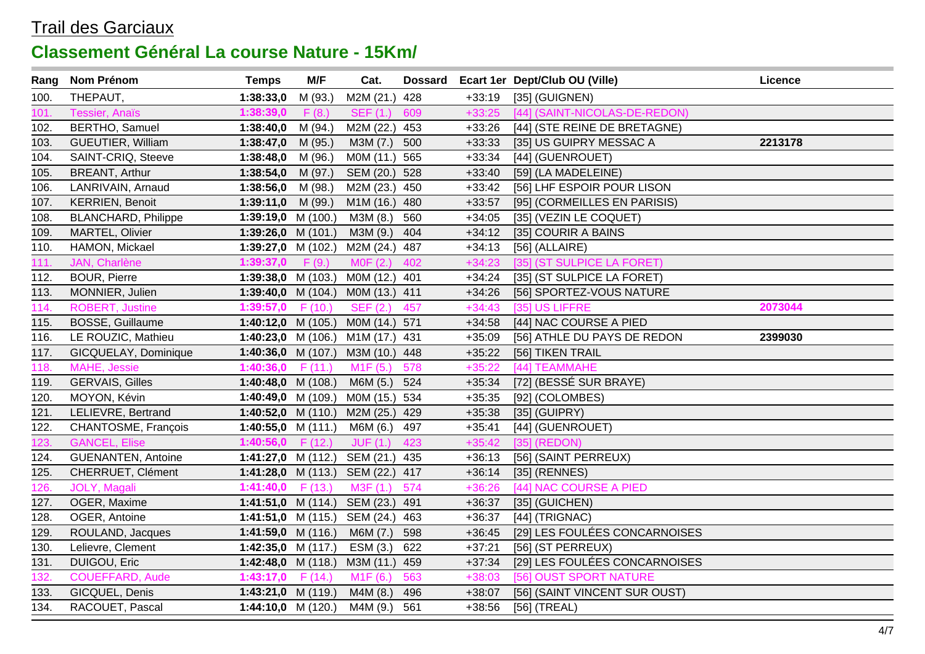| Rang | Nom Prénom                 | <b>Temps</b>         | M/F     | Cat.                             |     |          | Dossard Ecart 1er Dept/Club OU (Ville) | <b>Licence</b> |
|------|----------------------------|----------------------|---------|----------------------------------|-----|----------|----------------------------------------|----------------|
| 100. | THEPAUT,                   | 1:38:33,0            | M (93.) | M2M (21.)                        | 428 | $+33:19$ | [35] (GUIGNEN)                         |                |
| 101  | <b>Tessier, Anaïs</b>      | 1:38:39,0            | F(8.)   | <b>SEF (1.)</b>                  | 609 | $+33:25$ | [44] (SAINT-NICOLAS-DE-REDON)          |                |
| 102. | BERTHO, Samuel             | 1:38:40,0            | M (94.) | M2M (22.)                        | 453 | $+33:26$ | [44] (STE REINE DE BRETAGNE)           |                |
| 103. | GUEUTIER, William          | 1:38:47,0            | M (95.) | M3M (7.)                         | 500 | $+33:33$ | [35] US GUIPRY MESSAC A                | 2213178        |
| 104. | SAINT-CRIQ, Steeve         | 1:38:48,0            | M (96.) | M0M (11.)                        | 565 | $+33:34$ | [44] (GUENROUET)                       |                |
| 105. | <b>BREANT, Arthur</b>      | 1:38:54,0            | M (97.) | SEM (20.)                        | 528 | $+33:40$ | [59] (LA MADELEINE)                    |                |
| 106. | LANRIVAIN, Arnaud          | 1:38:56,0            | M (98.) | M2M (23.)                        | 450 | $+33:42$ | [56] LHF ESPOIR POUR LISON             |                |
| 107. | <b>KERRIEN, Benoit</b>     | 1:39:11,0            | M (99.) | M1M (16.)                        | 480 | $+33:57$ | [95] (CORMEILLES EN PARISIS)           |                |
| 108. | <b>BLANCHARD, Philippe</b> | 1:39:19,0 $M(100.)$  |         | M3M (8.)                         | 560 | $+34:05$ | [35] (VEZIN LE COQUET)                 |                |
| 109. | MARTEL, Olivier            | 1:39:26,0 $M(101.)$  |         | M3M (9.)                         | 404 | $+34:12$ | [35] COURIR A BAINS                    |                |
| 110. | HAMON, Mickael             | 1:39:27,0 $M(102.)$  |         | M2M (24.) 487                    |     | $+34:13$ | $[56]$ (ALLAIRE)                       |                |
| 111  | JAN, Charlène              | 1:39:37,0            | F(9.)   | MOF(2.)                          | 402 | $+34:23$ | [35] (ST SULPICE LA FORET)             |                |
| 112. | <b>BOUR, Pierre</b>        | 1:39:38,0 $M(103.)$  |         | M0M (12.) 401                    |     | $+34:24$ | [35] (ST SULPICE LA FORET)             |                |
| 113. | MONNIER, Julien            | 1:39:40,0 $M(104.)$  |         | MOM (13.) 411                    |     | $+34:26$ | [56] SPORTEZ-VOUS NATURE               |                |
| 114. | <b>ROBERT, Justine</b>     | 1:39:57,0 $F(10.)$   |         | SEF (2.)                         | 457 | $+34:43$ | [35] US LIFFRE                         | 2073044        |
| 115. | <b>BOSSE, Guillaume</b>    | 1:40:12,0 M $(105.)$ |         | MOM (14.) 571                    |     | $+34:58$ | [44] NAC COURSE A PIED                 |                |
| 116. | LE ROUZIC, Mathieu         | 1:40:23,0 M $(106.)$ |         | M1M (17.) 431                    |     | $+35:09$ | [56] ATHLE DU PAYS DE REDON            | 2399030        |
| 117. | GICQUELAY, Dominique       | 1:40:36,0 $M(107.)$  |         | M3M (10.) 448                    |     | $+35:22$ | [56] TIKEN TRAIL                       |                |
| 118. | MAHE, Jessie               | 1:40:36,0 $F(11.)$   |         | M1F(5.)                          | 578 | $+35:22$ | [44] TEAMMAHE                          |                |
| 119. | <b>GERVAIS, Gilles</b>     | 1:40:48,0 $M(108.)$  |         | M6M (5.)                         | 524 | $+35:34$ | [72] (BESSÉ SUR BRAYE)                 |                |
| 120. | MOYON, Kévin               | 1:40:49,0 $M(109.)$  |         | M0M (15.) 534                    |     | $+35:35$ | [92] (COLOMBES)                        |                |
| 121. | LELIEVRE, Bertrand         | 1:40:52,0 M $(110.)$ |         | M2M (25.)                        | 429 | $+35:38$ | $[35]$ (GUIPRY)                        |                |
| 122. | CHANTOSME, François        | 1:40:55,0 $M(111.)$  |         | M6M (6.)                         | 497 | $+35:41$ | [44] (GUENROUET)                       |                |
| 123. | <b>GANCEL, Elise</b>       | 1:40:56,0 $F(12.)$   |         | JUF(1.)                          | 423 | $+35:42$ | $[35]$ (REDON)                         |                |
| 124. | <b>GUENANTEN, Antoine</b>  |                      |         | 1:41:27,0 M (112.) SEM (21.) 435 |     | $+36:13$ | [56] (SAINT PERREUX)                   |                |
| 125. | CHERRUET, Clément          |                      |         | 1:41:28,0 M (113.) SEM (22.) 417 |     | $+36:14$ | $[35]$ (RENNES)                        |                |
| 126. | JOLY, Magali               | 1:41:40,0 $F(13.)$   |         | M3F(1.)                          | 574 | $+36:26$ | [44] NAC COURSE A PIED                 |                |
| 127. | OGER, Maxime               |                      |         | 1:41:51,0 M (114.) SEM (23.) 491 |     | $+36:37$ | $[35]$ (GUICHEN)                       |                |
| 128. | OGER, Antoine              |                      |         | 1:41:51,0 M (115.) SEM (24.) 463 |     | $+36:37$ | $[44]$ (TRIGNAC)                       |                |
| 129. | ROULAND, Jacques           | 1:41:59,0 $M(116.)$  |         | M6M (7.)                         | 598 | $+36:45$ | [29] LES FOULÉES CONCARNOISES          |                |
| 130. | Lelievre, Clement          | 1:42:35,0 $M(117.)$  |         | ESM (3.)                         | 622 | $+37:21$ | [56] (ST PERREUX)                      |                |
| 131. | DUIGOU, Eric               | 1:42:48,0 $M(118.)$  |         | M3M (11.) 459                    |     | $+37:34$ | [29] LES FOULÉES CONCARNOISES          |                |
| 132. | <b>COUEFFARD, Aude</b>     | 1:43:17,0 $F(14.)$   |         | M1F(6.)                          | 563 | $+38:03$ | [56] OUST SPORT NATURE                 |                |
| 133. | GICQUEL, Denis             | 1:43:21,0 $M(119.)$  |         | M4M (8.)                         | 496 | $+38:07$ | [56] (SAINT VINCENT SUR OUST)          |                |
| 134. | RACOUET, Pascal            | 1:44:10,0 $M(120.)$  |         | M4M (9.)                         | 561 | $+38:56$ | $[56]$ (TREAL)                         |                |
|      |                            |                      |         |                                  |     |          |                                        |                |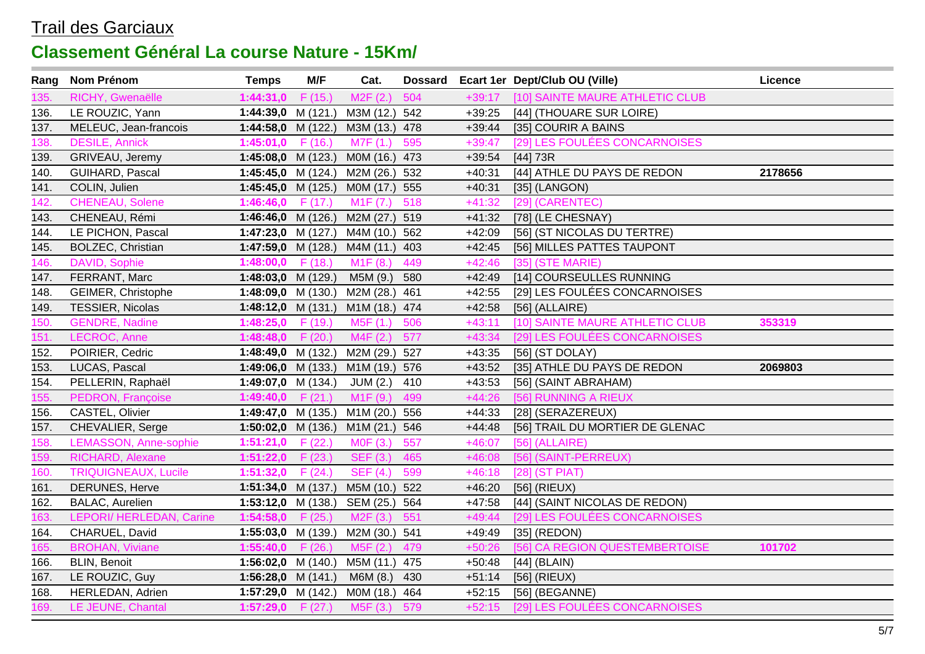| Rang | Nom Prénom                  | <b>Temps</b>         | M/F    | Cat.                             |     |          | Dossard Ecart 1er Dept/Club OU (Ville) | Licence |
|------|-----------------------------|----------------------|--------|----------------------------------|-----|----------|----------------------------------------|---------|
| 135. | RICHY, Gwenaëlle            | 1:44:31,0            | F(15.) | M2F(2.)                          | 504 | $+39:17$ | [10] SAINTE MAURE ATHLETIC CLUB        |         |
| 136. | LE ROUZIC, Yann             | 1:44:39,0 $M(121.)$  |        | M3M (12.) 542                    |     | $+39:25$ | [44] (THOUARE SUR LOIRE)               |         |
| 137. | MELEUC, Jean-francois       | 1:44:58,0 M $(122.)$ |        | M3M (13.) 478                    |     | $+39:44$ | [35] COURIR A BAINS                    |         |
| 138. | <b>DESILE, Annick</b>       | 1:45:01,0            | F(16.) | M7F (1.)                         | 595 | $+39:47$ | [29] LES FOULÉES CONCARNOISES          |         |
| 139. | GRIVEAU, Jeremy             | 1:45:08,0 $M(123.)$  |        | M0M (16.) 473                    |     | $+39:54$ | [44] 73R                               |         |
| 140. | GUIHARD, Pascal             | 1:45:45,0 $M(124)$   |        | M2M (26.) 532                    |     | $+40:31$ | [44] ATHLE DU PAYS DE REDON            | 2178656 |
| 141. | COLIN, Julien               | 1:45:45,0 M $(125.)$ |        | M0M (17.) 555                    |     | $+40:31$ | [35] (LANGON)                          |         |
| 142. | <b>CHENEAU, Solene</b>      | 1:46:46,0 $F(17)$    |        | M1F (7.)                         | 518 | $+41:32$ | [29] (CARENTEC)                        |         |
| 143. | CHENEAU, Rémi               |                      |        | 1:46:46,0 M (126.) M2M (27.) 519 |     | $+41:32$ | [78] (LE CHESNAY)                      |         |
| 144. | LE PICHON, Pascal           |                      |        | 1:47:23,0 M (127.) M4M (10.) 562 |     | $+42:09$ | [56] (ST NICOLAS DU TERTRE)            |         |
| 145. | <b>BOLZEC, Christian</b>    | 1:47:59,0 M $(128.)$ |        | M4M (11.) 403                    |     | $+42:45$ | [56] MILLES PATTES TAUPONT             |         |
| 146. | DAVID, Sophie               | 1:48:00,0 $F(18.)$   |        | M <sub>1</sub> F (8.)            | 449 | $+42:46$ | $[35]$ (STE MARIE)                     |         |
| 147. | FERRANT, Marc               | 1:48:03,0 M $(129.)$ |        | M5M (9.)                         | 580 | $+42:49$ | [14] COURSEULLES RUNNING               |         |
| 148. | GEIMER, Christophe          | 1:48:09,0 $M(130.)$  |        | M2M (28.) 461                    |     | $+42:55$ | [29] LES FOULÉES CONCARNOISES          |         |
| 149. | <b>TESSIER, Nicolas</b>     | 1:48:12,0 $M(131.)$  |        | M1M (18.) 474                    |     | $+42:58$ | $[56]$ (ALLAIRE)                       |         |
| 150. | <b>GENDRE, Nadine</b>       | 1:48:25,0 $F(19.)$   |        | M5F (1.)                         | 506 | $+43:11$ | [10] SAINTE MAURE ATHLETIC CLUB        | 353319  |
| 151. | LECROC, Anne                | 1:48:48,0 $F(20.)$   |        | M4F(2.)                          | 577 | $+43:34$ | [29] LES FOULÉES CONCARNOISES          |         |
| 152. | POIRIER, Cedric             | 1:48:49,0 $M(132.)$  |        | M2M (29.) 527                    |     | $+43:35$ | [56] (ST DOLAY)                        |         |
| 153. | LUCAS, Pascal               | 1:49:06,0 $M(133.)$  |        | M1M (19.) 576                    |     | $+43:52$ | [35] ATHLE DU PAYS DE REDON            | 2069803 |
| 154. | PELLERIN, Raphaël           | 1:49:07,0 $M(134)$   |        | JUM (2.)                         | 410 | $+43:53$ | [56] (SAINT ABRAHAM)                   |         |
| 155. | PEDRON, Françoise           | 1:49:40,0 $F(21.)$   |        | M <sub>1</sub> F (9.)            | 499 | $+44:26$ | [56] RUNNING A RIEUX                   |         |
| 156. | CASTEL, Olivier             | 1:49:47,0 $M(135.)$  |        | M1M (20.) 556                    |     | $+44:33$ | [28] (SERAZEREUX)                      |         |
| 157. | CHEVALIER, Serge            | 1:50:02,0 $M(136.)$  |        | M1M (21.) 546                    |     | $+44:48$ | [56] TRAIL DU MORTIER DE GLENAC        |         |
| 158. | LEMASSON, Anne-sophie       | 1:51:21,0 $F(22.)$   |        | M0F (3.)                         | 557 | $+46:07$ | $[56]$ (ALLAIRE)                       |         |
| 159. | RICHARD, Alexane            | 1:51:22,0 $F(23.)$   |        | <b>SEF (3.)</b>                  | 465 | $+46:08$ | [56] (SAINT-PERREUX)                   |         |
| 160. | <b>TRIQUIGNEAUX, Lucile</b> | 1:51:32,0            | F(24.) | <b>SEF (4.)</b>                  | 599 | $+46:18$ | $[28]$ (ST PIAT)                       |         |
| 161. | DERUNES, Herve              | 1:51:34,0 $M(137.)$  |        | M5M (10.) 522                    |     | $+46:20$ | $[56]$ (RIEUX)                         |         |
| 162. | <b>BALAC, Aurelien</b>      | 1:53:12,0 $M(138.)$  |        | SEM (25.) 564                    |     | $+47:58$ | [44] (SAINT NICOLAS DE REDON)          |         |
| 163. | LEPORI/ HERLEDAN, Carine    | 1:54:58,0 $F(25.)$   |        | M2F(3.)                          | 551 | $+49:44$ | [29] LES FOULÉES CONCARNOISES          |         |
| 164. | CHARUEL, David              | $1:55:03,0$ M (139.) |        | M2M (30.) 541                    |     | $+49:49$ | $[35]$ (REDON)                         |         |
| 165  | <b>BROHAN, Viviane</b>      | 1:55:40,0 $F(26.)$   |        | M5F (2.)                         | 479 | $+50:26$ | [56] CA REGION QUESTEMBERTOISE         | 101702  |
| 166. | <b>BLIN, Benoit</b>         | 1:56:02,0 $M(140.)$  |        | M5M (11.) 475                    |     | $+50:48$ | $[44]$ (BLAIN)                         |         |
| 167. | LE ROUZIC, Guy              | 1:56:28,0 $M(141.)$  |        | M6M (8.)                         | 430 | $+51:14$ | $[56]$ (RIEUX)                         |         |
| 168. | HERLEDAN, Adrien            | 1:57:29,0 $M(142.)$  |        | M0M (18.) 464                    |     | $+52:15$ | $[56]$ (BEGANNE)                       |         |
| 169. | LE JEUNE, Chantal           | 1:57:29,0 $F(27.)$   |        | M5F(3.)                          | 579 | $+52:15$ | [29] LES FOULÉES CONCARNOISES          |         |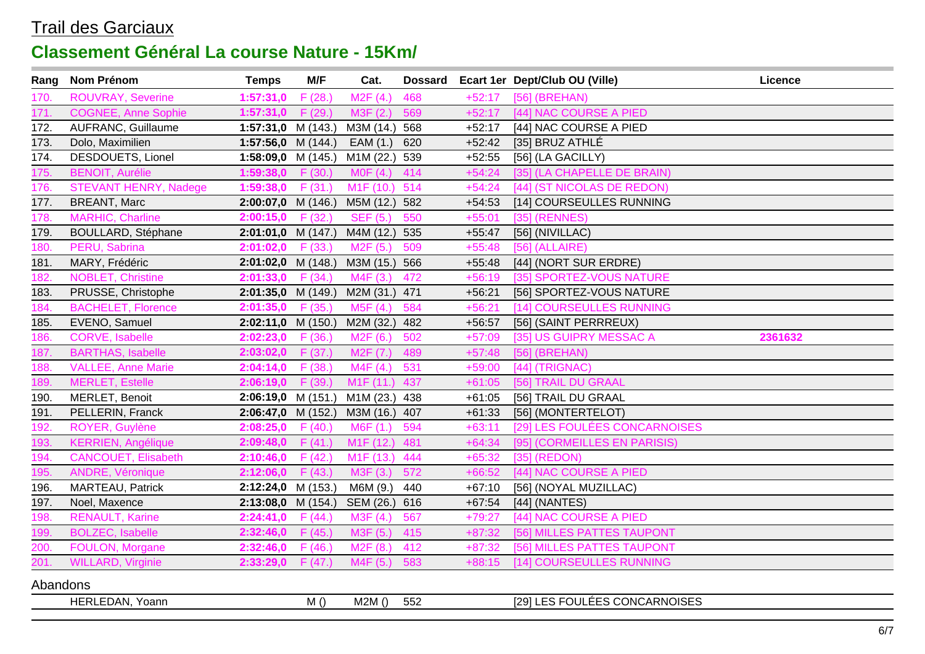| Rang     | Nom Prénom                   | <b>Temps</b>              | M/F    | Cat.                   |     |          | Dossard Ecart 1er Dept/Club OU (Ville) | Licence |
|----------|------------------------------|---------------------------|--------|------------------------|-----|----------|----------------------------------------|---------|
| 170      | <b>ROUVRAY, Severine</b>     | 1:57:31,0                 | F(28.) | M2F(4.)                | 468 | $+52:17$ | [56] (BREHAN)                          |         |
| 171.     | <b>COGNEE, Anne Sophie</b>   | 1:57:31,0                 | F(29.) | M3F (2.)               | 569 | $+52:17$ | [44] NAC COURSE A PIED                 |         |
| 172.     | AUFRANC, Guillaume           | $1:57:31,0$ M (143.)      |        | M3M (14.)              | 568 | $+52:17$ | [44] NAC COURSE A PIED                 |         |
| 173.     | Dolo, Maximilien             | 1:57:56,0 $M(144)$        |        | EAM (1.)               | 620 | $+52:42$ | [35] BRUZ ATHLÉ                        |         |
| 174.     | DESDOUETS, Lionel            | 1:58:09,0 $M(145.)$       |        | M1M (22.)              | 539 | $+52:55$ | [56] (LA GACILLY)                      |         |
| 175.     | <b>BENOIT, Aurélie</b>       | 1:59:38,0 $F(30.)$        |        | MOF(4.)                | 414 | $+54:24$ | [35] (LA CHAPELLE DE BRAIN)            |         |
| 176.     | <b>STEVANT HENRY, Nadege</b> | 1:59:38,0 $F(31.)$        |        | M <sub>1</sub> F (10.) | 514 | $+54:24$ | [44] (ST NICOLAS DE REDON)             |         |
| 177.     | <b>BREANT, Marc</b>          | $2:00:07,0$ M (146.)      |        | M5M (12.) 582          |     | $+54:53$ | [14] COURSEULLES RUNNING               |         |
| 178.     | <b>MARHIC, Charline</b>      | $2:00:15,0$ F (32.)       |        | <b>SEF (5.)</b>        | 550 | $+55:01$ | $[35]$ (RENNES)                        |         |
| 179.     | <b>BOULLARD, Stéphane</b>    | $2:01:01,0$ M (147.)      |        | M4M (12.) 535          |     | $+55:47$ | $[56]$ (NIVILLAC)                      |         |
| 180      | PERU, Sabrina                | $2:01:02,0$ F (33.)       |        | M2F(5.)                | 509 | $+55:48$ | $[56]$ (ALLAIRE)                       |         |
| 181.     | MARY, Frédéric               | $2:01:02,0$ M (148.)      |        | M3M (15.) 566          |     | $+55:48$ | [44] (NORT SUR ERDRE)                  |         |
| 182.     | <b>NOBLET, Christine</b>     | 2:01:33,0                 | F(34.) | M4F (3.)               | 472 | $+56:19$ | [35] SPORTEZ-VOUS NATURE               |         |
| 183.     | PRUSSE, Christophe           | $2:01:35,0$ M (149.)      |        | M2M (31.) 471          |     | $+56:21$ | [56] SPORTEZ-VOUS NATURE               |         |
| 184.     | <b>BACHELET, Florence</b>    | $2:01:35,0$ F (35.)       |        | M5F(4.)                | 584 | $+56:21$ | [14] COURSEULLES RUNNING               |         |
| 185.     | EVENO, Samuel                | $2:02:11,0 \quad M(150.)$ |        | M2M (32.) 482          |     | $+56:57$ | [56] (SAINT PERRREUX)                  |         |
| 186      | CORVE, Isabelle              | $2:02:23,0$ F (36.)       |        | M2F (6.)               | 502 | $+57:09$ | [35] US GUIPRY MESSAC A                | 2361632 |
| 187      | <b>BARTHAS, Isabelle</b>     | $2:03:02,0$ F (37.)       |        | M <sub>2</sub> F (7.)  | 489 | $+57:48$ | [56] (BREHAN)                          |         |
| 188.     | <b>VALLEE, Anne Marie</b>    | 2:04:14,0                 | F(38.) | M4F(4.)                | 531 | $+59:00$ | [44] (TRIGNAC)                         |         |
| 189.     | <b>MERLET, Estelle</b>       | 2:06:19,0                 | F(39.) | M <sub>1</sub> F (11.) | 437 | $+61:05$ | [56] TRAIL DU GRAAL                    |         |
| 190.     | MERLET, Benoit               | $2:06:19,0 \quad M(151.)$ |        | M1M (23.) 438          |     | $+61:05$ | [56] TRAIL DU GRAAL                    |         |
| 191.     | PELLERIN, Franck             | $2:06:47,0$ M (152.)      |        | M3M (16.)              | 407 | $+61:33$ | [56] (MONTERTELOT)                     |         |
| 192      | ROYER, Guylène               | 2:08:25,0                 | F(40.) | M6F(1.)                | 594 | $+63:11$ | [29] LES FOULÉES CONCARNOISES          |         |
| 193.     | <b>KERRIEN, Angélique</b>    | $2:09:48,0$ F (41.)       |        | M <sub>1</sub> F (12.) | 481 | $+64:34$ | [95] (CORMEILLES EN PARISIS)           |         |
| 194.     | <b>CANCOUET, Elisabeth</b>   | 2:10:46,0                 | F(42.) | M <sub>1</sub> F (13.) | 444 | $+65:32$ | $[35]$ (REDON)                         |         |
| 195      | ANDRE, Véronique             | 2:12:06,0                 | F(43.) | M3F(3.)                | 572 | $+66:52$ | [44] NAC COURSE A PIED                 |         |
| 196.     | MARTEAU, Patrick             | $2:12:24,0$ M (153.)      |        | M6M (9.)               | 440 | $+67:10$ | [56] (NOYAL MUZILLAC)                  |         |
| 197.     | Noel, Maxence                | $2:13:08,0$ M (154.)      |        | SEM (26.) 616          |     | $+67:54$ | [44] (NANTES)                          |         |
| 198.     | <b>RENAULT, Karine</b>       | 2:24:41,0                 | F(44)  | M3F(4.)                | 567 | $+79:27$ | [44] NAC COURSE A PIED                 |         |
| 199.     | <b>BOLZEC, Isabelle</b>      | 2:32:46,0                 | F(45.) | M3F (5.)               | 415 | $+87:32$ | [56] MILLES PATTES TAUPONT             |         |
| 200.     | FOULON, Morgane              | 2:32:46,0                 | F(46.) | M2F(8.)                | 412 | $+87:32$ | [56] MILLES PATTES TAUPONT             |         |
| 201.     | <b>WILLARD, Virginie</b>     | $2:33:29,0$ F (47.)       |        | M4F (5.) 583           |     | $+88:15$ | [14] COURSEULLES RUNNING               |         |
| Abandons |                              |                           |        |                        |     |          |                                        |         |
|          | HERLEDAN, Yoann              |                           | M()    | M2M()                  | 552 |          | [29] LES FOULÉES CONCARNOISES          |         |